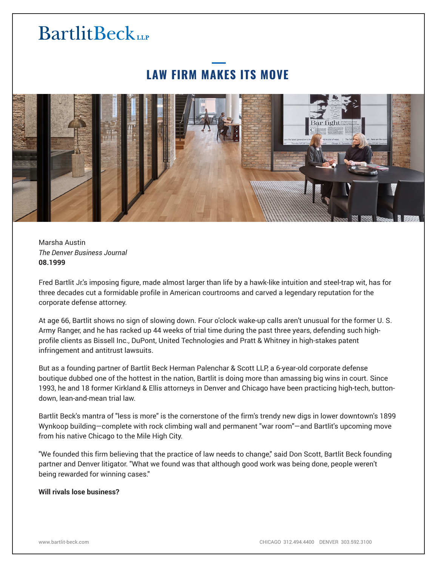# **LAW FIRM MAKES ITS MOVE**



Marsha Austin *The Denver Business Journal* **08.1999**

Fred Bartlit Jr.'s imposing figure, made almost larger than life by a hawk-like intuition and steel-trap wit, has for three decades cut a formidable profile in American courtrooms and carved a legendary reputation for the corporate defense attorney.

At age 66, Bartlit shows no sign of slowing down. Four o'clock wake-up calls aren't unusual for the former U. S. Army Ranger, and he has racked up 44 weeks of trial time during the past three years, defending such highprofile clients as Bissell Inc., DuPont, United Technologies and Pratt & Whitney in high-stakes patent infringement and antitrust lawsuits.

But as a founding partner of Bartlit Beck Herman Palenchar & Scott LLP, a 6-year-old corporate defense boutique dubbed one of the hottest in the nation, Bartlit is doing more than amassing big wins in court. Since 1993, he and 18 former Kirkland & Ellis attorneys in Denver and Chicago have been practicing high-tech, buttondown, lean-and-mean trial law.

Bartlit Beck's mantra of "less is more" is the cornerstone of the firm's trendy new digs in lower downtown's 1899 Wynkoop building—complete with rock climbing wall and permanent "war room"—and Bartlit's upcoming move from his native Chicago to the Mile High City.

"We founded this firm believing that the practice of law needs to change," said Don Scott, Bartlit Beck founding partner and Denver litigator. "What we found was that although good work was being done, people weren't being rewarded for winning cases."

### **Will rivals lose business?**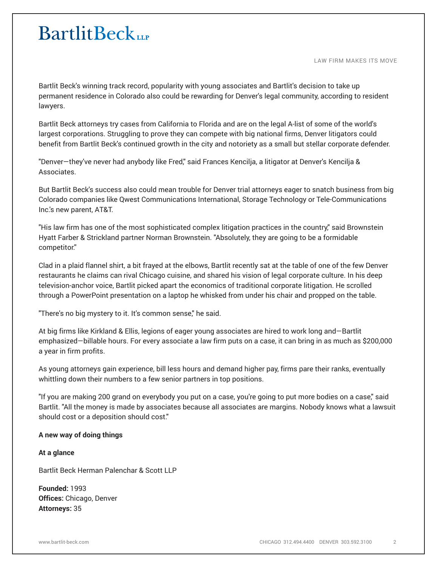LAW FIRM MAKES ITS MOVE

Bartlit Beck's winning track record, popularity with young associates and Bartlit's decision to take up permanent residence in Colorado also could be rewarding for Denver's legal community, according to resident lawyers.

Bartlit Beck attorneys try cases from California to Florida and are on the legal A-list of some of the world's largest corporations. Struggling to prove they can compete with big national firms, Denver litigators could benefit from Bartlit Beck's continued growth in the city and notoriety as a small but stellar corporate defender.

"Denver—they've never had anybody like Fred," said Frances Kencilja, a litigator at Denver's Kencilja & Associates.

But Bartlit Beck's success also could mean trouble for Denver trial attorneys eager to snatch business from big Colorado companies like Qwest Communications International, Storage Technology or Tele-Communications Inc.'s new parent, AT&T.

"His law firm has one of the most sophisticated complex litigation practices in the country," said Brownstein Hyatt Farber & Strickland partner Norman Brownstein. "Absolutely, they are going to be a formidable competitor.''

Clad in a plaid flannel shirt, a bit frayed at the elbows, Bartlit recently sat at the table of one of the few Denver restaurants he claims can rival Chicago cuisine, and shared his vision of legal corporate culture. In his deep television-anchor voice, Bartlit picked apart the economics of traditional corporate litigation. He scrolled through a PowerPoint presentation on a laptop he whisked from under his chair and propped on the table.

"There's no big mystery to it. It's common sense," he said.

At big firms like Kirkland & Ellis, legions of eager young associates are hired to work long and—Bartlit emphasized—billable hours. For every associate a law firm puts on a case, it can bring in as much as \$200,000 a year in firm profits.

As young attorneys gain experience, bill less hours and demand higher pay, firms pare their ranks, eventually whittling down their numbers to a few senior partners in top positions.

"If you are making 200 grand on everybody you put on a case, you're going to put more bodies on a case," said Bartlit. "All the money is made by associates because all associates are margins. Nobody knows what a lawsuit should cost or a deposition should cost."

## **A new way of doing things**

**At a glance**

Bartlit Beck Herman Palenchar & Scott LLP

**Founded:** 1993 **Offices:** Chicago, Denver **Attorneys:** 35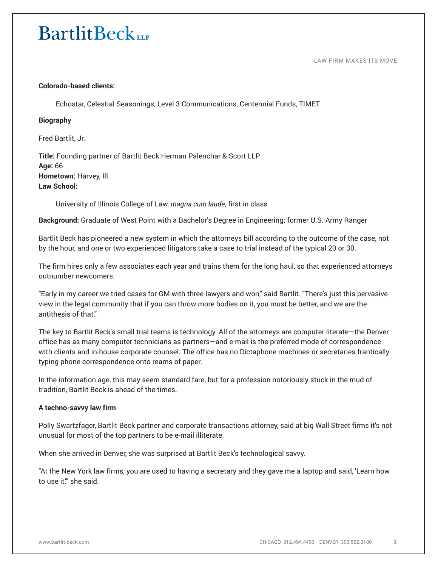#### LAW FIRM MAKES ITS MOVE

### **Colorado-based clients:**

Echostar, Celestial Seasonings, Level 3 Communications, Centennial Funds, TIMET.

### **Biography**

Fred Bartlit, Jr.

**Title:** Founding partner of Bartlit Beck Herman Palenchar & Scott LLP **Age:** 66 **Hometown:** Harvey, Ill. **Law School:**

University of Illinois College of Law, *magna cum laude*, first in class

**Background:** Graduate of West Point with a Bachelor's Degree in Engineering; former U.S. Army Ranger

Bartlit Beck has pioneered a new system in which the attorneys bill according to the outcome of the case, not by the hour, and one or two experienced litigators take a case to trial instead of the typical 20 or 30.

The firm hires only a few associates each year and trains them for the long haul, so that experienced attorneys outnumber newcomers.

"Early in my career we tried cases for GM with three lawyers and won," said Bartlit. "There's just this pervasive view in the legal community that if you can throw more bodies on it, you must be better, and we are the antithesis of that."

The key to Bartlit Beck's small trial teams is technology. All of the attorneys are computer literate—the Denver office has as many computer technicians as partners—and e-mail is the preferred mode of correspondence with clients and in-house corporate counsel. The office has no Dictaphone machines or secretaries frantically typing phone correspondence onto reams of paper.

In the information age, this may seem standard fare, but for a profession notoriously stuck in the mud of tradition, Bartlit Beck is ahead of the times.

### **A techno-savvy law firm**

Polly Swartzfager, Bartlit Beck partner and corporate transactions attorney, said at big Wall Street firms it's not unusual for most of the top partners to be e-mail illiterate.

When she arrived in Denver, she was surprised at Bartlit Beck's technological savvy.

"At the New York law firms, you are used to having a secretary and they gave me a laptop and said, 'Learn how to use it,'" she said.